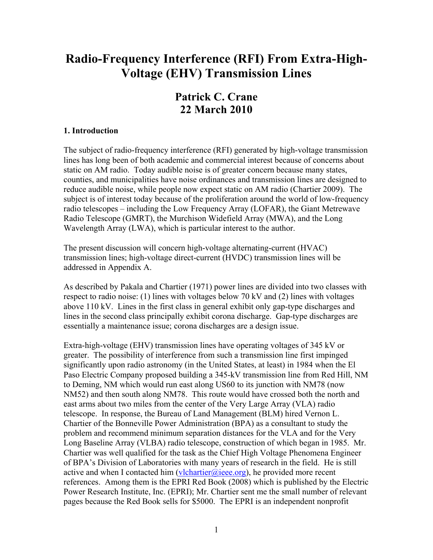# **Radio-Frequency Interference (RFI) From Extra-High-Voltage (EHV) Transmission Lines**

# **Patrick C. Crane 22 March 2010**

#### **1. Introduction**

The subject of radio-frequency interference (RFI) generated by high-voltage transmission lines has long been of both academic and commercial interest because of concerns about static on AM radio. Today audible noise is of greater concern because many states, counties, and municipalities have noise ordinances and transmission lines are designed to reduce audible noise, while people now expect static on AM radio (Chartier 2009). The subject is of interest today because of the proliferation around the world of low-frequency radio telescopes – including the Low Frequency Array (LOFAR), the Giant Metrewave Radio Telescope (GMRT), the Murchison Widefield Array (MWA), and the Long Wavelength Array (LWA), which is particular interest to the author.

The present discussion will concern high-voltage alternating-current (HVAC) transmission lines; high-voltage direct-current (HVDC) transmission lines will be addressed in Appendix A.

As described by Pakala and Chartier (1971) power lines are divided into two classes with respect to radio noise: (1) lines with voltages below 70 kV and (2) lines with voltages above 110 kV. Lines in the first class in general exhibit only gap-type discharges and lines in the second class principally exhibit corona discharge. Gap-type discharges are essentially a maintenance issue; corona discharges are a design issue.

Extra-high-voltage (EHV) transmission lines have operating voltages of 345 kV or greater. The possibility of interference from such a transmission line first impinged significantly upon radio astronomy (in the United States, at least) in 1984 when the El Paso Electric Company proposed building a 345-kV transmission line from Red Hill, NM to Deming, NM which would run east along US60 to its junction with NM78 (now NM52) and then south along NM78. This route would have crossed both the north and east arms about two miles from the center of the Very Large Array (VLA) radio telescope. In response, the Bureau of Land Management (BLM) hired Vernon L. Chartier of the Bonneville Power Administration (BPA) as a consultant to study the problem and recommend minimum separation distances for the VLA and for the Very Long Baseline Array (VLBA) radio telescope, construction of which began in 1985. Mr. Chartier was well qualified for the task as the Chief High Voltage Phenomena Engineer of BPA's Division of Laboratories with many years of research in the field. He is still active and when I contacted him ([vlchartier@ieee.org\)](mailto:vlchartier@ieee.org), he provided more recent references. Among them is the EPRI Red Book (2008) which is published by the Electric Power Research Institute, Inc. (EPRI); Mr. Chartier sent me the small number of relevant pages because the Red Book sells for \$5000. The EPRI is an independent nonprofit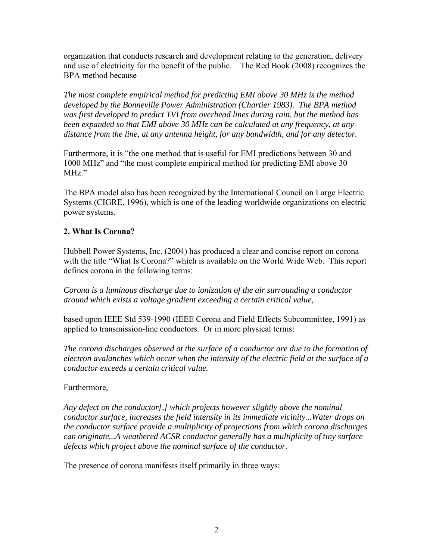organization that conducts research and development relating to the generation, delivery and use of electricity for the benefit of the public. The Red Book (2008) recognizes the BPA method because

*The most complete empirical method for predicting EMI above 30 MHz is the method developed by the Bonneville Power Administration (Chartier 1983). The BPA method was first developed to predict TVI from overhead lines during rain, but the method has been expanded so that EMI above 30 MHz can be calculated at any frequency, at any distance from the line, at any antenna height, for any bandwidth, and for any detector.* 

Furthermore, it is "the one method that is useful for EMI predictions between 30 and 1000 MHz" and "the most complete empirical method for predicting EMI above 30 MHz."

The BPA model also has been recognized by the International Council on Large Electric Systems (CIGRE, 1996), which is one of the leading worldwide organizations on electric power systems.

# **2. What Is Corona?**

Hubbell Power Systems, Inc. (2004) has produced a clear and concise report on corona with the title "What Is Corona?" which is available on the World Wide Web. This report defines corona in the following terms:

*Corona is a luminous discharge due to ionization of the air surrounding a conductor around which exists a voltage gradient exceeding a certain critical value,* 

based upon IEEE Std 539-1990 (IEEE Corona and Field Effects Subcommittee, 1991) as applied to transmission-line conductors. Or in more physical terms:

*The corona discharges observed at the surface of a conductor are due to the formation of electron avalanches which occur when the intensity of the electric field at the surface of a conductor exceeds a certain critical value.* 

Furthermore,

*Any defect on the conductor[,] which projects however slightly above the nominal conductor surface, increases the field intensity in its immediate vicinity...Water drops on the conductor surface provide a multiplicity of projections from which corona discharges can originate...A weathered ACSR conductor generally has a multiplicity of tiny surface defects which project above the nominal surface of the conductor.* 

The presence of corona manifests itself primarily in three ways: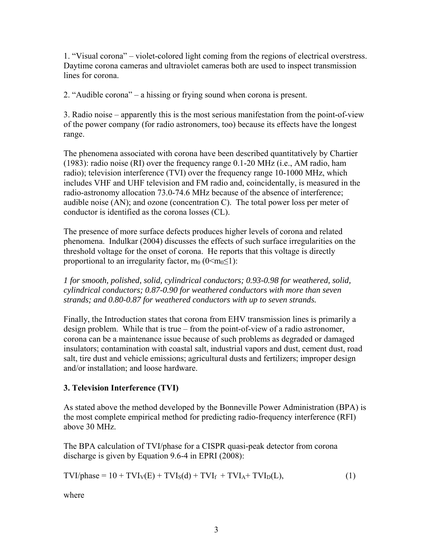1. "Visual corona" – violet-colored light coming from the regions of electrical overstress. Daytime corona cameras and ultraviolet cameras both are used to inspect transmission lines for corona.

2. "Audible corona" – a hissing or frying sound when corona is present.

3. Radio noise – apparently this is the most serious manifestation from the point-of-view of the power company (for radio astronomers, too) because its effects have the longest range.

The phenomena associated with corona have been described quantitatively by Chartier (1983): radio noise (RI) over the frequency range 0.1-20 MHz (i.e., AM radio, ham radio); television interference (TVI) over the frequency range 10-1000 MHz, which includes VHF and UHF television and FM radio and, coincidentally, is measured in the radio-astronomy allocation 73.0-74.6 MHz because of the absence of interference; audible noise (AN); and ozone (concentration C). The total power loss per meter of conductor is identified as the corona losses (CL).

The presence of more surface defects produces higher levels of corona and related phenomena. Indulkar (2004) discusses the effects of such surface irregularities on the threshold voltage for the onset of corona. He reports that this voltage is directly proportional to an irregularity factor,  $m_0$  ( $0 \le m_0 \le 1$ ):

*1 for smooth, polished, solid, cylindrical conductors; 0.93-0.98 for weathered, solid, cylindrical conductors; 0.87-0.90 for weathered conductors with more than seven strands; and 0.80-0.87 for weathered conductors with up to seven strands.* 

Finally, the Introduction states that corona from EHV transmission lines is primarily a design problem. While that is true – from the point-of-view of a radio astronomer, corona can be a maintenance issue because of such problems as degraded or damaged insulators; contamination with coastal salt, industrial vapors and dust, cement dust, road salt, tire dust and vehicle emissions; agricultural dusts and fertilizers; improper design and/or installation; and loose hardware.

# **3. Television Interference (TVI)**

As stated above the method developed by the Bonneville Power Administration (BPA) is the most complete empirical method for predicting radio-frequency interference (RFI) above 30 MHz.

The BPA calculation of TVI/phase for a CISPR quasi-peak detector from corona discharge is given by Equation 9.6-4 in EPRI (2008):

$$
TVI/phase = 10 + TVIV(E) + TVIS(d) + TVIf + TVIA + TVID(L),
$$
\n(1)

where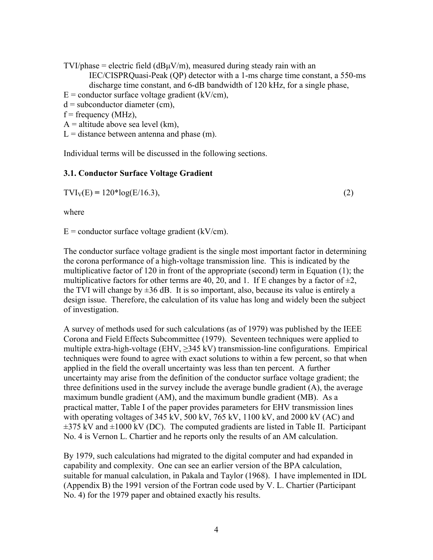$TVI/phase = electric field (dB<sub>\mu</sub>V/m)$ , measured during steady rain with an IEC/CISPRQuasi-Peak (QP) detector with a 1-ms charge time constant, a 550-ms discharge time constant, and 6-dB bandwidth of 120 kHz, for a single phase,

 $E =$  conductor surface voltage gradient (kV/cm),

 $d =$  subconductor diameter (cm),

 $f = frequency (MHz)$ ,

 $A =$  altitude above sea level (km),

 $L =$  distance between antenna and phase (m).

Individual terms will be discussed in the following sections.

#### **3.1. Conductor Surface Voltage Gradient**

 $TVI_V(E) = 120 * log(E/16.3),$  (2)

where

 $E =$  conductor surface voltage gradient (kV/cm).

The conductor surface voltage gradient is the single most important factor in determining the corona performance of a high-voltage transmission line. This is indicated by the multiplicative factor of 120 in front of the appropriate (second) term in Equation (1); the multiplicative factors for other terms are 40, 20, and 1. If E changes by a factor of  $\pm 2$ , the TVI will change by  $\pm 36$  dB. It is so important, also, because its value is entirely a design issue. Therefore, the calculation of its value has long and widely been the subject of investigation.

A survey of methods used for such calculations (as of 1979) was published by the IEEE Corona and Field Effects Subcommittee (1979). Seventeen techniques were applied to multiple extra-high-voltage (EHV,  $\geq$ 345 kV) transmission-line configurations. Empirical techniques were found to agree with exact solutions to within a few percent, so that when applied in the field the overall uncertainty was less than ten percent. A further uncertainty may arise from the definition of the conductor surface voltage gradient; the three definitions used in the survey include the average bundle gradient (A), the average maximum bundle gradient (AM), and the maximum bundle gradient (MB). As a practical matter, Table I of the paper provides parameters for EHV transmission lines with operating voltages of 345 kV,  $500 \text{ kV}$ ,  $765 \text{ kV}$ ,  $1100 \text{ kV}$ , and  $2000 \text{ kV}$  (AC) and  $\pm$ 375 kV and  $\pm$ 1000 kV (DC). The computed gradients are listed in Table II. Participant No. 4 is Vernon L. Chartier and he reports only the results of an AM calculation.

By 1979, such calculations had migrated to the digital computer and had expanded in capability and complexity. One can see an earlier version of the BPA calculation, suitable for manual calculation, in Pakala and Taylor (1968). I have implemented in IDL (Appendix B) the 1991 version of the Fortran code used by V. L. Chartier (Participant No. 4) for the 1979 paper and obtained exactly his results.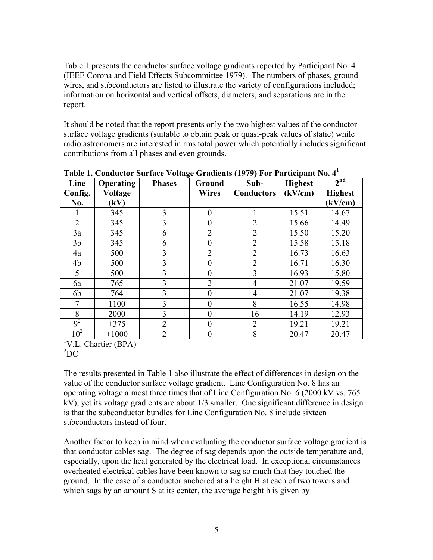Table 1 presents the conductor surface voltage gradients reported by Participant No. 4 (IEEE Corona and Field Effects Subcommittee 1979). The numbers of phases, ground wires, and subconductors are listed to illustrate the variety of configurations included; information on horizontal and vertical offsets, diameters, and separations are in the report.

It should be noted that the report presents only the two highest values of the conductor surface voltage gradients (suitable to obtain peak or quasi-peak values of static) while radio astronomers are interested in rms total power which potentially includes significant contributions from all phases and even grounds.

| Line            | Operating  | <b>Phases</b>  | Ground         | Sub-              | <b>Highest</b> | 2 <sup>nd</sup> |
|-----------------|------------|----------------|----------------|-------------------|----------------|-----------------|
| Config.         | Voltage    |                | <b>Wires</b>   | <b>Conductors</b> | (kV/cm)        | <b>Highest</b>  |
| No.             | (kV)       |                |                |                   |                | (kV/cm)         |
|                 | 345        | 3              | $\overline{0}$ |                   | 15.51          | 14.67           |
| $\overline{2}$  | 345        | 3              | $\theta$       | $\overline{2}$    | 15.66          | 14.49           |
| 3a              | 345        | 6              | $\overline{2}$ | $\overline{2}$    | 15.50          | 15.20           |
| 3 <sub>b</sub>  | 345        | 6              | $\theta$       | $\overline{2}$    | 15.58          | 15.18           |
| 4a              | 500        | 3              | $\overline{2}$ | $\overline{2}$    | 16.73          | 16.63           |
| 4b              | 500        | 3              | $\overline{0}$ | $\overline{2}$    | 16.71          | 16.30           |
| 5               | 500        | 3              | $\theta$       | 3                 | 16.93          | 15.80           |
| 6a              | 765        | 3              | $\overline{2}$ | 4                 | 21.07          | 19.59           |
| 6b              | 764        | 3              | $\theta$       | $\overline{4}$    | 21.07          | 19.38           |
| 7               | 1100       | $\overline{3}$ | $\theta$       | 8                 | 16.55          | 14.98           |
| 8               | 2000       | 3              | $\theta$       | 16                | 14.19          | 12.93           |
| $9^2$           | $\pm 375$  | $\overline{2}$ | $\overline{0}$ | $\overline{2}$    | 19.21          | 19.21           |
| 10 <sup>2</sup> | $\pm 1000$ | $\overline{2}$ | $\theta$       | 8                 | 20.47          | 20.47           |

**Table 1. Conductor Surface Voltage Gradients (1979) For Participant No. 4<sup>1</sup>**

<sup>1</sup>V.L. Chartier (BPA)

 ${}^{2}DC$ 

The results presented in Table 1 also illustrate the effect of differences in design on the value of the conductor surface voltage gradient. Line Configuration No. 8 has an operating voltage almost three times that of Line Configuration No. 6 (2000 kV vs. 765 kV), yet its voltage gradients are about 1/3 smaller. One significant difference in design is that the subconductor bundles for Line Configuration No. 8 include sixteen subconductors instead of four.

Another factor to keep in mind when evaluating the conductor surface voltage gradient is that conductor cables sag. The degree of sag depends upon the outside temperature and, especially, upon the heat generated by the electrical load. In exceptional circumstances overheated electrical cables have been known to sag so much that they touched the ground. In the case of a conductor anchored at a height H at each of two towers and which sags by an amount S at its center, the average height h is given by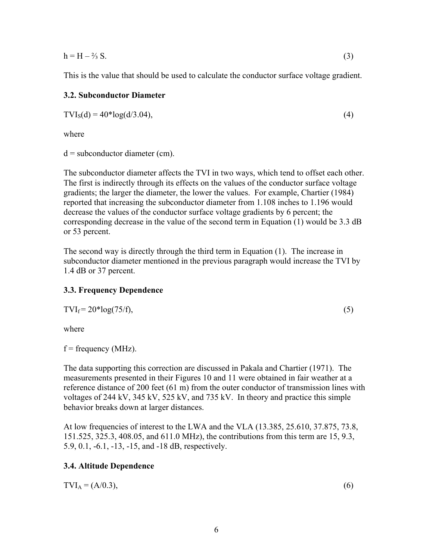$h = H - \frac{2}{3} S$ . (3)

This is the value that should be used to calculate the conductor surface voltage gradient.

#### **3.2. Subconductor Diameter**

 $TVI_S(d) = 40 * log(d/3.04),$  (4)

where

 $d =$  subconductor diameter (cm).

The subconductor diameter affects the TVI in two ways, which tend to offset each other. The first is indirectly through its effects on the values of the conductor surface voltage gradients; the larger the diameter, the lower the values. For example, Chartier (1984) reported that increasing the subconductor diameter from 1.108 inches to 1.196 would decrease the values of the conductor surface voltage gradients by 6 percent; the corresponding decrease in the value of the second term in Equation (1) would be 3.3 dB or 53 percent.

The second way is directly through the third term in Equation (1). The increase in subconductor diameter mentioned in the previous paragraph would increase the TVI by 1.4 dB or 37 percent.

# **3.3. Frequency Dependence**

$$
TVI_f = 20 * \log(75/f),\tag{5}
$$

where

 $f = frequency (MHz)$ .

The data supporting this correction are discussed in Pakala and Chartier (1971). The measurements presented in their Figures 10 and 11 were obtained in fair weather at a reference distance of 200 feet (61 m) from the outer conductor of transmission lines with voltages of 244 kV, 345 kV, 525 kV, and 735 kV. In theory and practice this simple behavior breaks down at larger distances.

At low frequencies of interest to the LWA and the VLA (13.385, 25.610, 37.875, 73.8, 151.525, 325.3, 408.05, and 611.0 MHz), the contributions from this term are 15, 9.3, 5.9, 0.1, -6.1, -13, -15, and -18 dB, respectively.

# **3.4. Altitude Dependence**

 $TVI_A = (A/0.3),$  (6)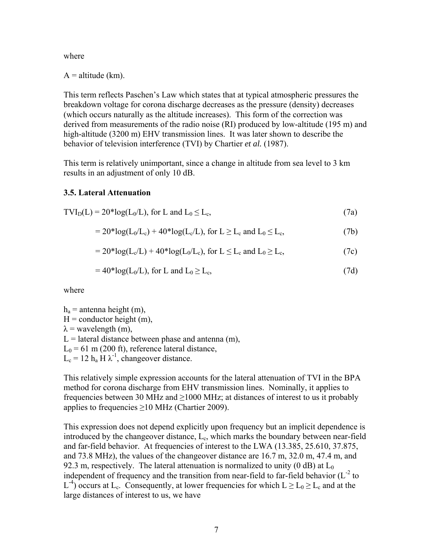where

 $A =$ altitude (km).

This term reflects Paschen's Law which states that at typical atmospheric pressures the breakdown voltage for corona discharge decreases as the pressure (density) decreases (which occurs naturally as the altitude increases). This form of the correction was derived from measurements of the radio noise (RI) produced by low-altitude (195 m) and high-altitude (3200 m) EHV transmission lines. It was later shown to describe the behavior of television interference (TVI) by Chartier *et al.* (1987).

This term is relatively unimportant, since a change in altitude from sea level to 3 km results in an adjustment of only 10 dB.

#### **3.5. Lateral Attenuation**

$$
TVI_D(L) = 20 * log(L_0/L), \text{ for } L \text{ and } L_0 \le L_c,
$$
\n(7a)

$$
= 20^* \log(L_0/L_c) + 40^* \log(L_c/L), \text{ for } L \ge L_c \text{ and } L_0 \le L_c,
$$
 (7b)

$$
= 20^* \log(Lc/L) + 40^* \log(L0/Lc), for L \le Lc and L0 \ge Lc, \qquad (7c)
$$

$$
=40*log(L0/L), for L and L0 \ge Lc,
$$
\n(7d)

where

 $h_a$  = antenna height (m),  $H =$  conductor height (m),  $\lambda$  = wavelength (m),  $L =$  lateral distance between phase and antenna (m),  $L_0 = 61$  m (200 ft), reference lateral distance,  $L_c = 12 h_a H \lambda^{-1}$ , changeover distance.

This relatively simple expression accounts for the lateral attenuation of TVI in the BPA method for corona discharge from EHV transmission lines. Nominally, it applies to frequencies between 30 MHz and  $\geq$ 1000 MHz; at distances of interest to us it probably applies to frequencies  $\geq$ 10 MHz (Chartier 2009).

This expression does not depend explicitly upon frequency but an implicit dependence is introduced by the changeover distance, Lc, which marks the boundary between near-field and far-field behavior. At frequencies of interest to the LWA (13.385, 25.610, 37.875, and 73.8 MHz), the values of the changeover distance are 16.7 m, 32.0 m, 47.4 m, and 92.3 m, respectively. The lateral attenuation is normalized to unity (0 dB) at  $L_0$ independent of frequency and the transition from near-field to far-field behavior  $(L<sup>-2</sup>$  to  $L^{-4}$ ) occurs at  $L_c$ . Consequently, at lower frequencies for which  $L \ge L_0 \ge L_c$  and at the large distances of interest to us, we have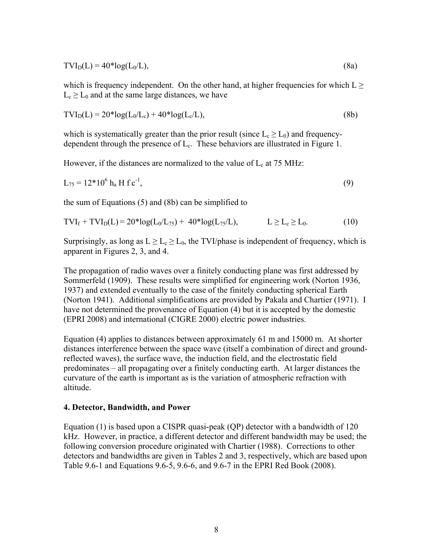$$
TVI_D(L) = 40 * log(L_0/L),
$$
\n(8a)

which is frequency independent. On the other hand, at higher frequencies for which  $L \ge$  $L_c > L_0$  and at the same large distances, we have

$$
TVI_D(L) = 20 * log(L_0/L_c) + 40 * log(L_0/L),
$$
\n(8b)

which is systematically greater than the prior result (since  $L_c \ge L_0$ ) and frequencydependent through the presence of  $L_c$ . These behaviors are illustrated in Figure 1.

However, if the distances are normalized to the value of  $L_c$  at 75 MHz:

$$
L_{75} = 12*10^6 \text{ h}_a \text{ H f c}^{-1},\tag{9}
$$

the sum of Equations (5) and (8b) can be simplified to

$$
TVI_f + TVI_D(L) = 20 * log(L_0/L_{75}) + 40 * log(L_{75}/L), \qquad L \ge L_c \ge L_0.
$$
 (10)

Surprisingly, as long as  $L \ge L_c \ge L_0$ , the TVI/phase is independent of frequency, which is apparent in Figures 2, 3, and 4.

The propagation of radio waves over a finitely conducting plane was first addressed by Sommerfeld (1909). These results were simplified for engineering work (Norton 1936, 1937) and extended eventually to the case of the finitely conducting spherical Earth (Norton 1941). Additional simplifications are provided by Pakala and Chartier (1971). I have not determined the provenance of Equation (4) but it is accepted by the domestic (EPRI 2008) and international (CIGRE 2000) electric power industries.

Equation (4) applies to distances between approximately 61 m and 15000 m. At shorter distances interference between the space wave (itself a combination of direct and groundreflected waves), the surface wave, the induction field, and the electrostatic field predominates – all propagating over a finitely conducting earth. At larger distances the curvature of the earth is important as is the variation of atmospheric refraction with altitude.

#### **4. Detector, Bandwidth, and Power**

Equation (1) is based upon a CISPR quasi-peak (QP) detector with a bandwidth of 120 kHz. However, in practice, a different detector and different bandwidth may be used; the following conversion procedure originated with Chartier (1988). Corrections to other detectors and bandwidths are given in Tables 2 and 3, respectively, which are based upon Table 9.6-1 and Equations 9.6-5, 9.6-6, and 9.6-7 in the EPRI Red Book (2008).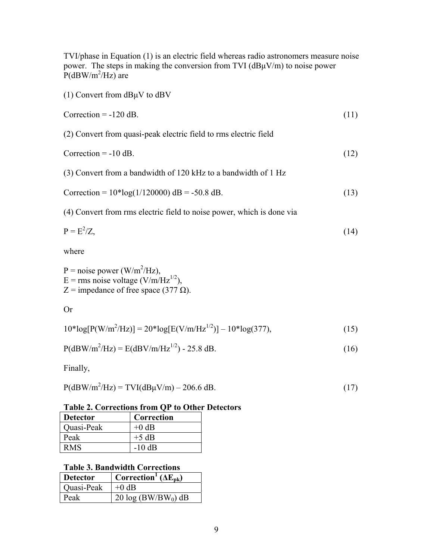TVI/phase in Equation (1) is an electric field whereas radio astronomers measure noise power. The steps in making the conversion from TVI  $(dB\mu V/m)$  to noise power  $P(dBW/m^2/Hz)$  are (1) Convert from dBμV to dBV  $\text{Correction} = -120 \text{ dB}.$  (11) (2) Convert from quasi-peak electric field to rms electric field  $\text{Correction} = -10 \text{ dB}.$  (12) (3) Convert from a bandwidth of 120 kHz to a bandwidth of 1 Hz Correction =  $10*log(1/120000)$  dB = -50.8 dB. (13) (4) Convert from rms electric field to noise power, which is done via  $P = E^2/Z$ .  $/Z,$  (14) where  $P = noise power (W/m<sup>2</sup>/Hz)$ ,  $E =$ rms noise voltage (V/m/Hz<sup>1/2</sup>),  $Z =$  impedance of free space (377  $\Omega$ ). Or  $10*log[P(W/m^2/Hz)] = 20*log[E(V/m/Hz^{1/2})] - 10*log(377),$  (15)

$$
P(dBW/m^2/Hz) = E(dBV/m/Hz^{1/2}) - 25.8 dB.
$$
 (16)

Finally,

$$
P(dBW/m2/Hz) = TVI(dB\mu V/m) - 206.6 dB.
$$
\n(17)

#### **Table 2. Corrections from QP to Other Detectors**

| <b>Detector</b> | Correction |
|-----------------|------------|
| Quasi-Peak      | $+0$ dB    |
| Peak            | $+5$ dB    |
| RMS.            | $-10$ dB   |

#### **Table 3. Bandwidth Corrections**

| <b>Detector</b> | Correction <sup>1</sup> ( $\Delta E_{\rm pk}$ ) |
|-----------------|-------------------------------------------------|
| Quasi-Peak      | $+0$ dB                                         |
| Peak            | 20 $log(BW/BW_0)$ dB                            |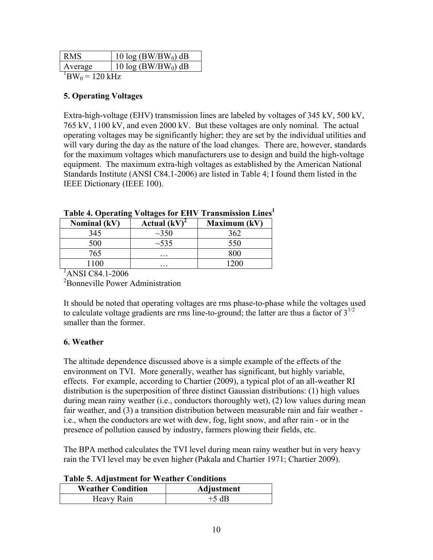| RMS                          | 10 $log(BW/BW_0)$ dB |  |  |
|------------------------------|----------------------|--|--|
| Average                      | 10 $log(BW/BW_0)$ dB |  |  |
| $1$ DII $U = 1$ $20$ $1$ -II |                      |  |  |

 ${}^{1}$ BW<sub>0</sub> = 120 kHz

#### **5. Operating Voltages**

Extra-high-voltage (EHV) transmission lines are labeled by voltages of 345 kV, 500 kV, 765 kV, 1100 kV, and even 2000 kV. But these voltages are only nominal. The actual operating voltages may be significantly higher; they are set by the individual utilities and will vary during the day as the nature of the load changes. There are, however, standards for the maximum voltages which manufacturers use to design and build the high-voltage equipment. The maximum extra-high voltages as established by the American National Standards Institute (ANSI C84.1-2006) are listed in Table 4; I found them listed in the IEEE Dictionary (IEEE 100).

| -                   |                    |                     |  |  |  |
|---------------------|--------------------|---------------------|--|--|--|
| <b>Nominal</b> (kV) | <b>Actual</b> (kV) | <b>Maximum (kV)</b> |  |  |  |
| 345                 | $\sim$ 350         | 362                 |  |  |  |
| 500                 | ~1.535             | 550                 |  |  |  |
| 765                 | $\cdots$           | 800                 |  |  |  |
|                     | $\cdots$           |                     |  |  |  |

**Table 4. Operating Voltages for EHV Transmission Lines1**

1 ANSI C84.1-2006

<sup>2</sup>Bonneville Power Administration

It should be noted that operating voltages are rms phase-to-phase while the voltages used to calculate voltage gradients are rms line-to-ground; the latter are thus a factor of  $3^{1/2}$ smaller than the former.

# **6. Weather**

The altitude dependence discussed above is a simple example of the effects of the environment on TVI. More generally, weather has significant, but highly variable, effects. For example, according to Chartier (2009), a typical plot of an all-weather RI distribution is the superposition of three distinct Gaussian distributions: (1) high values during mean rainy weather (i.e., conductors thoroughly wet), (2) low values during mean fair weather, and (3) a transition distribution between measurable rain and fair weather i.e., when the conductors are wet with dew, fog, light snow, and after rain - or in the presence of pollution caused by industry, farmers plowing their fields, etc.

The BPA method calculates the TVI level during mean rainy weather but in very heavy rain the TVI level may be even higher (Pakala and Chartier 1971; Chartier 2009).

| Tuble of Hujubelliche Tol Weither Contribution |            |
|------------------------------------------------|------------|
| <b>Weather Condition</b>                       | Adjustment |
| Heavy Rain                                     | $+5$ dB    |

**Table 5. Adjustment for Weather Conditions**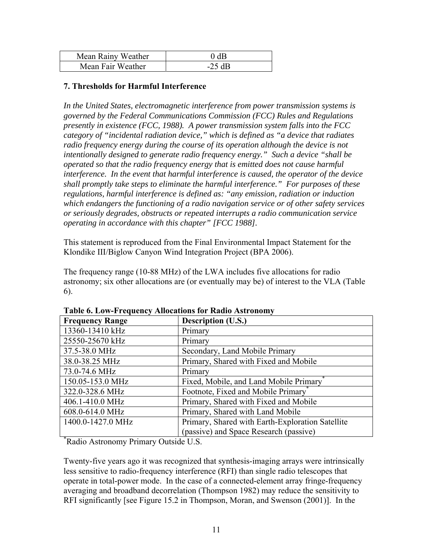| Mean Rainy Weather | 0 dB  |
|--------------------|-------|
| Mean Fair Weather  | 25 AR |

#### **7. Thresholds for Harmful Interference**

*In the United States, electromagnetic interference from power transmission systems is governed by the Federal Communications Commission (FCC) Rules and Regulations presently in existence (FCC, 1988). A power transmission system falls into the FCC category of "incidental radiation device," which is defined as "a device that radiates radio frequency energy during the course of its operation although the device is not intentionally designed to generate radio frequency energy." Such a device "shall be operated so that the radio frequency energy that is emitted does not cause harmful interference. In the event that harmful interference is caused, the operator of the device shall promptly take steps to eliminate the harmful interference." For purposes of these regulations, harmful interference is defined as: "any emission, radiation or induction which endangers the functioning of a radio navigation service or of other safety services or seriously degrades, obstructs or repeated interrupts a radio communication service operating in accordance with this chapter" [FCC 1988].* 

This statement is reproduced from the Final Environmental Impact Statement for the Klondike III/Biglow Canyon Wind Integration Project (BPA 2006).

The frequency range (10-88 MHz) of the LWA includes five allocations for radio astronomy; six other allocations are (or eventually may be) of interest to the VLA (Table 6).

| <b>Frequency Range</b>                | Description (U.S.)                               |
|---------------------------------------|--------------------------------------------------|
| 13360-13410 kHz                       | Primary                                          |
| 25550-25670 kHz                       | Primary                                          |
| 37.5-38.0 MHz                         | Secondary, Land Mobile Primary                   |
| 38.0-38.25 MHz                        | Primary, Shared with Fixed and Mobile            |
| 73.0-74.6 MHz                         | Primary                                          |
| 150.05-153.0 MHz                      | Fixed, Mobile, and Land Mobile Primary           |
| 322.0-328.6 MHz                       | Footnote, Fixed and Mobile Primary               |
| 406.1-410.0 MHz                       | Primary, Shared with Fixed and Mobile            |
| 608.0-614.0 MHz                       | Primary, Shared with Land Mobile                 |
| 1400.0-1427.0 MHz                     | Primary, Shared with Earth-Exploration Satellite |
|                                       | (passive) and Space Research (passive)           |
| *Radio Astronomy Primary Outside U.S. |                                                  |

**Table 6. Low-Frequency Allocations for Radio Astronomy** 

Twenty-five years ago it was recognized that synthesis-imaging arrays were intrinsically less sensitive to radio-frequency interference (RFI) than single radio telescopes that operate in total-power mode. In the case of a connected-element array fringe-frequency averaging and broadband decorrelation (Thompson 1982) may reduce the sensitivity to RFI significantly [see Figure 15.2 in Thompson, Moran, and Swenson (2001)]. In the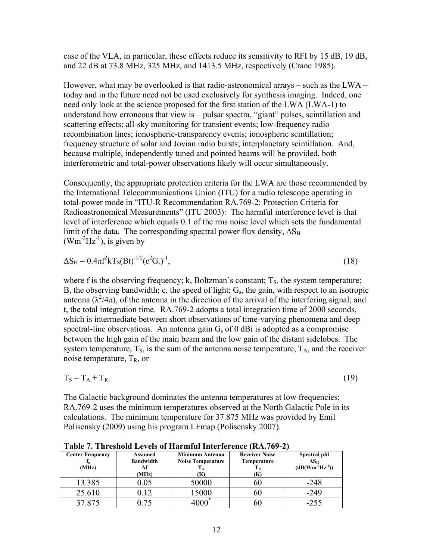case of the VLA, in particular, these effects reduce its sensitivity to RFI by 15 dB, 19 dB, and 22 dB at 73.8 MHz, 325 MHz, and 1413.5 MHz, respectively (Crane 1985).

However, what may be overlooked is that radio-astronomical arrays – such as the LWA – today and in the future need not be used exclusively for synthesis imaging. Indeed, one need only look at the science proposed for the first station of the LWA (LWA-1) to understand how erroneous that view is – pulsar spectra, "giant" pulses, scintillation and scattering effects; all-sky monitoring for transient events; low-frequency radio recombination lines; ionospheric-transparency events; ionospheric scintillation; frequency structure of solar and Jovian radio bursts; interplanetary scintillation. And, because multiple, independently tuned and pointed beams will be provided, both interferometric and total-power observations likely will occur simultaneously.

Consequently, the appropriate protection criteria for the LWA are those recommended by the International Telecommunications Union (ITU) for a radio telescope operating in total-power mode in "ITU-R Recommendation RA.769-2: Protection Criteria for Radioastronomical Measurements" (ITU 2003): The harmful interference level is that level of interference which equals 0.1 of the rms noise level which sets the fundamental limit of the data. The corresponding spectral power flux density,  $\Delta S_H$  $(Wm^{-2}Hz^{-1})$ , is given by

$$
\Delta S_H = 0.4\pi f^2 k T_S (Bt)^{-1/2} (c^2 G_s)^{-1},\tag{18}
$$

where f is the observing frequency; k, Boltzman's constant;  $T_s$ , the system temperature; B, the observing bandwidth; c, the speed of light;  $G_s$ , the gain, with respect to an isotropic antenna  $(\lambda^2/4\pi)$ , of the antenna in the direction of the arrival of the interfering signal; and t, the total integration time. RA.769-2 adopts a total integration time of 2000 seconds, which is intermediate between short observations of time-varying phenomena and deep spectral-line observations. An antenna gain  $G<sub>s</sub>$  of 0 dBi is adopted as a compromise between the high gain of the main beam and the low gain of the distant sidelobes. The system temperature,  $T_s$ , is the sum of the antenna noise temperature,  $T_A$ , and the receiver noise temperature,  $T_R$ , or

$$
T_S = T_A + T_R. \tag{19}
$$

The Galactic background dominates the antenna temperatures at low frequencies; RA.769-2 uses the minimum temperatures observed at the North Galactic Pole in its calculations. The minimum temperature for 37.875 MHz was provided by Emil Polisensky (2009) using his program LFmap (Polisensky 2007).

| <b>Center Frequency</b><br>(MHz) | Assumed<br><b>Bandwidth</b><br>Лf | Minimum Antenna<br><b>Noise Temperature</b> | <b>Receiver Noise</b><br>Temperature<br>$\mathbf{T}_{\mathbf{R}}$ | Spectral pfd<br>$\Delta S_{\rm H}$<br>$(dB(Wm^{-2}Hz^{-1}))$ |
|----------------------------------|-----------------------------------|---------------------------------------------|-------------------------------------------------------------------|--------------------------------------------------------------|
|                                  | (MHz)                             | K)                                          | (K)                                                               |                                                              |
| 13.385                           | 0.05                              | 50000                                       | ы                                                                 | $-248$                                                       |
| 25.610                           | 112                               | 15000                                       | bU                                                                | $-249$                                                       |
| 37.875                           |                                   |                                             | Ы.                                                                | -255                                                         |

**Table 7. Threshold Levels of Harmful Interference (RA.769-2)**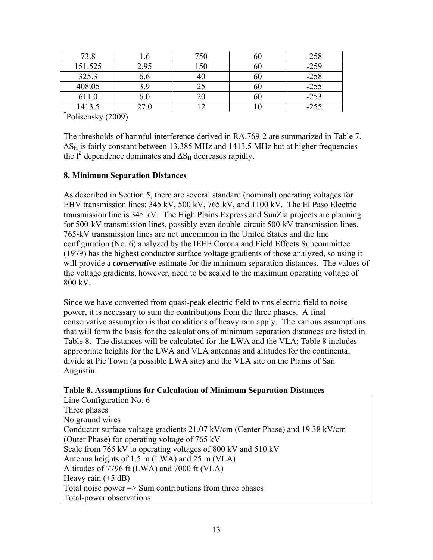| 73.8                          | 1.0  | 750 | 60 | $-258$ |
|-------------------------------|------|-----|----|--------|
| 151.525                       | 2.95 | 150 | 60 | $-259$ |
| 325.3                         | 6.6  |     | 60 | $-258$ |
| 408.05                        | 3.9  |     | 60 | $-255$ |
| 611.0                         | 6.0  |     | 60 | $-253$ |
| 1413.5                        | 27.0 |     |    | $-255$ |
| $n_{\text{olisomolay}}(2000)$ |      |     |    |        |

Polisensky (2009)

The thresholds of harmful interference derived in RA.769-2 are summarized in Table 7.  $\Delta S_H$  is fairly constant between 13.385 MHz and 1413.5 MHz but at higher frequencies the  $f^2$  dependence dominates and  $\Delta S_H$  decreases rapidly.

# **8. Minimum Separation Distances**

As described in Section 5, there are several standard (nominal) operating voltages for EHV transmission lines: 345 kV, 500 kV, 765 kV, and 1100 kV. The El Paso Electric transmission line is 345 kV. The High Plains Express and SunZia projects are planning for 500-kV transmission lines, possibly even double-circuit 500-kV transmission lines. 765-kV transmission lines are not uncommon in the United States and the line configuration (No. 6) analyzed by the IEEE Corona and Field Effects Subcommittee (1979) has the highest conductor surface voltage gradients of those analyzed, so using it will provide a *conservative* estimate for the minimum separation distances. The values of the voltage gradients, however, need to be scaled to the maximum operating voltage of 800 kV.

Since we have converted from quasi-peak electric field to rms electric field to noise power, it is necessary to sum the contributions from the three phases. A final conservative assumption is that conditions of heavy rain apply. The various assumptions that will form the basis for the calculations of minimum separation distances are listed in Table 8. The distances will be calculated for the LWA and the VLA; Table 8 includes appropriate heights for the LWA and VLA antennas and altitudes for the continental divide at Pie Town (a possible LWA site) and the VLA site on the Plains of San Augustin.

# **Table 8. Assumptions for Calculation of Minimum Separation Distances**

Line Configuration No. 6 Three phases No ground wires Conductor surface voltage gradients 21.07 kV/cm (Center Phase) and 19.38 kV/cm (Outer Phase) for operating voltage of 765 kV Scale from 765 kV to operating voltages of 800 kV and 510 kV Antenna heights of 1.5 m (LWA) and 25 m (VLA) Altitudes of 7796 ft (LWA) and 7000 ft (VLA) Heavy rain  $(+5$  dB) Total noise power  $\Rightarrow$  Sum contributions from three phases Total-power observations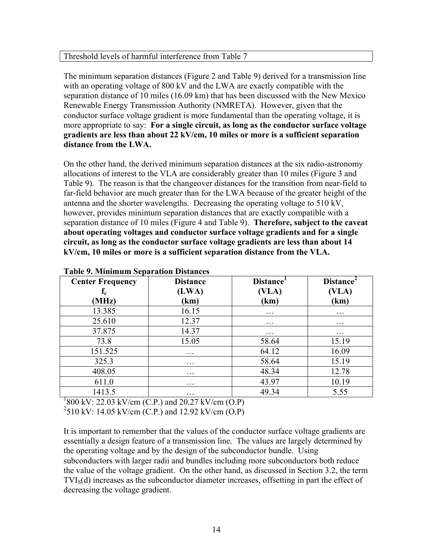#### Threshold levels of harmful interference from Table 7

The minimum separation distances (Figure 2 and Table 9) derived for a transmission line with an operating voltage of 800 kV and the LWA are exactly compatible with the separation distance of 10 miles (16.09 km) that has been discussed with the New Mexico Renewable Energy Transmission Authority (NMRETA). However, given that the conductor surface voltage gradient is more fundamental than the operating voltage, it is more appropriate to say: **For a single circuit, as long as the conductor surface voltage gradients are less than about 22 kV/cm, 10 miles or more is a sufficient separation distance from the LWA.**

On the other hand, the derived minimum separation distances at the six radio-astronomy allocations of interest to the VLA are considerably greater than 10 miles (Figure 3 and Table 9). The reason is that the changeover distances for the transition from near-field to far-field behavior are much greater than for the LWA because of the greater height of the antenna and the shorter wavelengths. Decreasing the operating voltage to 510 kV, however, provides minimum separation distances that are exactly compatible with a separation distance of 10 miles (Figure 4 and Table 9). **Therefore, subject to the caveat about operating voltages and conductor surface voltage gradients and for a single circuit, as long as the conductor surface voltage gradients are less than about 14 kV/cm, 10 miles or more is a sufficient separation distance from the VLA.**

| <b>Center Frequency</b> | <b>Distance</b>   | Distance <sup>1</sup> | Distance <sup>2</sup>   |
|-------------------------|-------------------|-----------------------|-------------------------|
| $f_c$                   | (LWA)             | (VLA)                 | (VLA)                   |
| (MHz)                   | (km)              | (km)                  | (km)                    |
| 13.385                  | 16.15             | $\ddotsc$             | $\cdot\cdot\cdot$       |
| 25.610                  | 12.37             | $\ddotsc$             | $\cdots$                |
| 37.875                  | 14.37             | $\ddotsc$             | $\cdot$ $\cdot$ $\cdot$ |
| 73.8                    | 15.05             | 58.64                 | 15.19                   |
| 151.525                 | $\cdot\cdot\cdot$ | 64.12                 | 16.09                   |
| 325.3                   | $\cdot\cdot\cdot$ | 58.64                 | 15.19                   |
| 408.05                  | $\ddotsc$         | 48.34                 | 12.78                   |
| 611.0                   | $\cdot\cdot\cdot$ | 43.97                 | 10.19                   |
| 1413.5                  | $\cdot\cdot\cdot$ | 49.34                 | 5.55                    |

#### **Table 9. Minimum Separation Distances**

 $1800 \text{ kV}$ : 22.03 kV/cm (C.P.) and 20.27 kV/cm (O.P)

 $^{2}$ 510 kV: 14.05 kV/cm (C.P.) and 12.92 kV/cm (O.P)

It is important to remember that the values of the conductor surface voltage gradients are essentially a design feature of a transmission line. The values are largely determined by the operating voltage and by the design of the subconductor bundle. Using subconductors with larger radii and bundles including more subconductors both reduce the value of the voltage gradient. On the other hand, as discussed in Section 3.2, the term TVIS(d) increases as the subconductor diameter increases, offsetting in part the effect of decreasing the voltage gradient.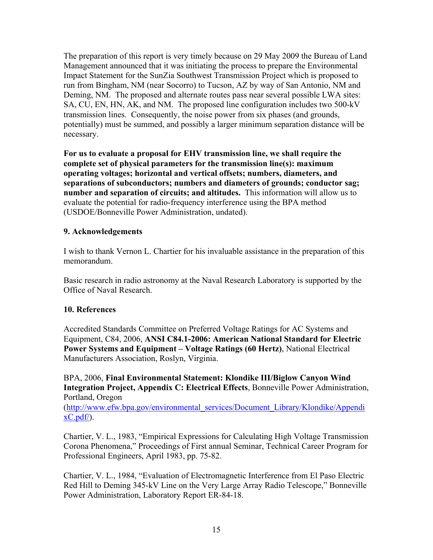The preparation of this report is very timely because on 29 May 2009 the Bureau of Land Management announced that it was initiating the process to prepare the Environmental Impact Statement for the SunZia Southwest Transmission Project which is proposed to run from Bingham, NM (near Socorro) to Tucson, AZ by way of San Antonio, NM and Deming, NM. The proposed and alternate routes pass near several possible LWA sites: SA, CU, EN, HN, AK, and NM. The proposed line configuration includes two 500-kV transmission lines. Consequently, the noise power from six phases (and grounds, potentially) must be summed, and possibly a larger minimum separation distance will be necessary.

**For us to evaluate a proposal for EHV transmission line, we shall require the complete set of physical parameters for the transmission line(s): maximum operating voltages; horizontal and vertical offsets; numbers, diameters, and separations of subconductors; numbers and diameters of grounds; conductor sag; number and separation of circuits; and altitudes.** This information will allow us to evaluate the potential for radio-frequency interference using the BPA method (USDOE/Bonneville Power Administration, undated).

# **9. Acknowledgements**

I wish to thank Vernon L. Chartier for his invaluable assistance in the preparation of this memorandum.

Basic research in radio astronomy at the Naval Research Laboratory is supported by the Office of Naval Research.

#### **10. References**

Accredited Standards Committee on Preferred Voltage Ratings for AC Systems and Equipment, C84, 2006, **ANSI C84.1-2006: American National Standard for Electric Power Systems and Equipment – Voltage Ratings (60 Hertz)**, National Electrical Manufacturers Association, Roslyn, Virginia.

BPA, 2006, **Final Environmental Statement: Klondike III/Biglow Canyon Wind Integration Project, Appendix C: Electrical Effects**, Bonneville Power Administration, Portland, Oregon

([http://www.efw.bpa.gov/environmental\\_services/Document\\_Library/Klondike/Appendi](http://www.efw.bpa.gov/environmental_services/Document_Library/Klondike/AppendixC.pdf/)  $xC.pdf$ .

Chartier, V. L., 1983, "Empirical Expressions for Calculating High Voltage Transmission Corona Phenomena," Proceedings of First annual Seminar, Technical Career Program for Professional Engineers, April 1983, pp. 75-82.

Chartier, V. L., 1984, "Evaluation of Electromagnetic Interference from El Paso Electric Red Hill to Deming 345-kV Line on the Very Large Array Radio Telescope," Bonneville Power Administration, Laboratory Report ER-84-18.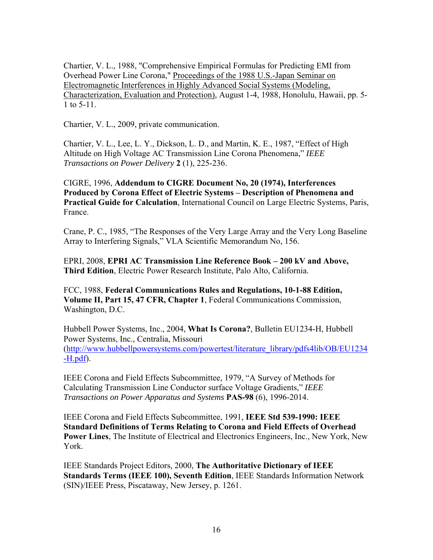Chartier, V. L., 1988, "Comprehensive Empirical Formulas for Predicting EMI from Overhead Power Line Corona," Proceedings of the 1988 U.S.-Japan Seminar on Electromagnetic Interferences in Highly Advanced Social Systems (Modeling, Characterization, Evaluation and Protection), August 1-4, 1988, Honolulu, Hawaii, pp. 5- 1 to 5-11.

Chartier, V. L., 2009, private communication.

Chartier, V. L., Lee, L. Y., Dickson, L. D., and Martin, K. E., 1987, "Effect of High Altitude on High Voltage AC Transmission Line Corona Phenomena," *IEEE Transactions on Power Delivery* **2** (1), 225-236.

CIGRE, 1996, **Addendum to CIGRE Document No, 20 (1974), Interferences Produced by Corona Effect of Electric Systems – Description of Phenomena and Practical Guide for Calculation**, International Council on Large Electric Systems, Paris, France.

Crane, P. C., 1985, "The Responses of the Very Large Array and the Very Long Baseline Array to Interfering Signals," VLA Scientific Memorandum No, 156.

EPRI, 2008, **EPRI AC Transmission Line Reference Book – 200 kV and Above, Third Edition**, Electric Power Research Institute, Palo Alto, California.

FCC, 1988, **Federal Communications Rules and Regulations, 10-1-88 Edition, Volume II, Part 15, 47 CFR, Chapter 1**, Federal Communications Commission, Washington, D.C.

Hubbell Power Systems, Inc., 2004, **What Is Corona?**, Bulletin EU1234-H, Hubbell Power Systems, Inc., Centralia, Missouri ([http://www.hubbellpowersystems.com/powertest/literature\\_library/pdfs4lib/OB/EU1234](http://www.hubbellpowersystems.com/powertest/literature_library/pdfs4lib/OB/EU1234-H.pdf)  $-H.pdf$ ).

IEEE Corona and Field Effects Subcommittee, 1979, "A Survey of Methods for Calculating Transmission Line Conductor surface Voltage Gradients," *IEEE Transactions on Power Apparatus and Systems* **PAS-98** (6), 1996-2014.

IEEE Corona and Field Effects Subcommittee, 1991, **IEEE Std 539-1990: IEEE Standard Definitions of Terms Relating to Corona and Field Effects of Overhead Power Lines**, The Institute of Electrical and Electronics Engineers, Inc., New York, New York.

IEEE Standards Project Editors, 2000, **The Authoritative Dictionary of IEEE Standards Terms (IEEE 100), Seventh Edition**, IEEE Standards Information Network (SIN)/IEEE Press, Piscataway, New Jersey, p. 1261.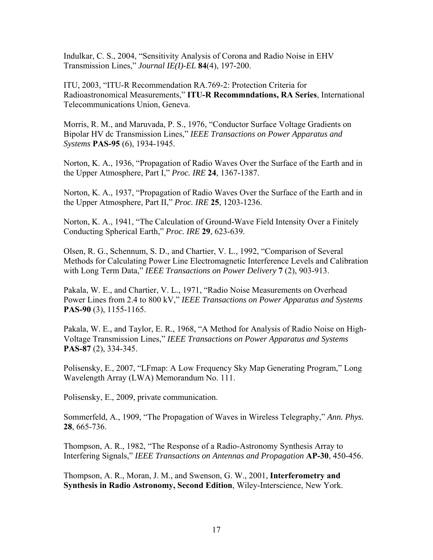Indulkar, C. S., 2004, "Sensitivity Analysis of Corona and Radio Noise in EHV Transmission Lines," *Journal IE(I)-EL* **84**(4), 197-200.

ITU, 2003, "ITU-R Recommendation RA.769-2: Protection Criteria for Radioastronomical Measurements," **ITU-R Recommndations, RA Series**, International Telecommunications Union, Geneva.

Morris, R. M., and Maruvada, P. S., 1976, "Conductor Surface Voltage Gradients on Bipolar HV dc Transmission Lines," *IEEE Transactions on Power Apparatus and Systems* **PAS-95** (6), 1934-1945.

Norton, K. A., 1936, "Propagation of Radio Waves Over the Surface of the Earth and in the Upper Atmosphere, Part I," *Proc. IRE* **24**, 1367-1387.

Norton, K. A., 1937, "Propagation of Radio Waves Over the Surface of the Earth and in the Upper Atmosphere, Part II," *Proc. IRE* **25**, 1203-1236.

Norton, K. A., 1941, "The Calculation of Ground-Wave Field Intensity Over a Finitely Conducting Spherical Earth," *Proc. IRE* **29**, 623-639.

Olsen, R. G., Schennum, S. D., and Chartier, V. L., 1992, "Comparison of Several Methods for Calculating Power Line Electromagnetic Interference Levels and Calibration with Long Term Data," *IEEE Transactions on Power Delivery* **7** (2), 903-913.

Pakala, W. E., and Chartier, V. L., 1971, "Radio Noise Measurements on Overhead Power Lines from 2.4 to 800 kV," *IEEE Transactions on Power Apparatus and Systems* **PAS-90** (3), 1155-1165.

Pakala, W. E., and Taylor, E. R., 1968, "A Method for Analysis of Radio Noise on High-Voltage Transmission Lines," *IEEE Transactions on Power Apparatus and Systems* **PAS-87** (2), 334-345.

Polisensky, E., 2007, "[LFmap: A Low Frequency Sky Map Generating Program](http://www.ece.vt.edu/swe/lwa/memo/lwa0111.pdf)," Long Wavelength Array (LWA) Memorandum No. 111.

Polisensky, E., 2009, private communication.

Sommerfeld, A., 1909, "The Propagation of Waves in Wireless Telegraphy," *Ann. Phys.* **28**, 665-736.

Thompson, A. R., 1982, "The Response of a Radio-Astronomy Synthesis Array to Interfering Signals," *IEEE Transactions on Antennas and Propagation* **AP-30**, 450-456.

Thompson, A. R., Moran, J. M., and Swenson, G. W., 2001, **Interferometry and Synthesis in Radio Astronomy, Second Edition**, Wiley-Interscience, New York.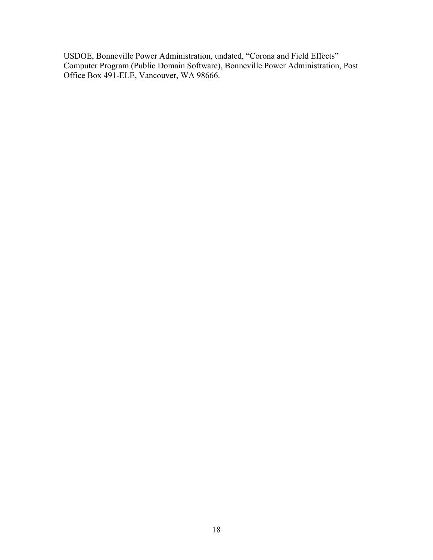USDOE, Bonneville Power Administration, undated, "Corona and Field Effects" Computer Program (Public Domain Software), Bonneville Power Administration, Post Office Box 491-ELE, Vancouver, WA 98666.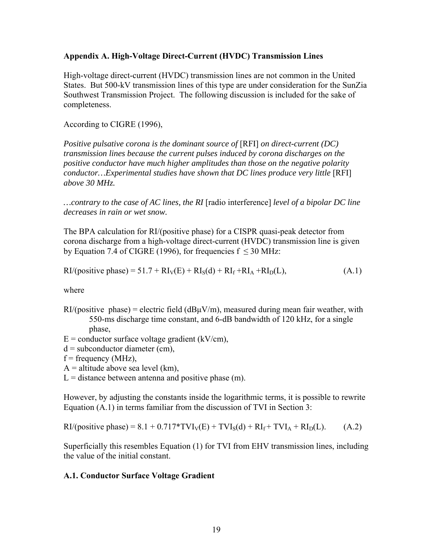#### **Appendix A. High-Voltage Direct-Current (HVDC) Transmission Lines**

High-voltage direct-current (HVDC) transmission lines are not common in the United States. But 500-kV transmission lines of this type are under consideration for the SunZia Southwest Transmission Project. The following discussion is included for the sake of completeness.

According to CIGRE (1996),

*Positive pulsative corona is the dominant source of* [RFI] *on direct-current (DC) transmission lines because the current pulses induced by corona discharges on the positive conductor have much higher amplitudes than those on the negative polarity conductor...Experimental studies have shown that DC lines produce very little* [RFI] *above 30 MHz.* 

*…contrary to the case of AC lines, the RI* [radio interference] *level of a bipolar DC line decreases in rain or wet snow.* 

The BPA calculation for RI/(positive phase) for a CISPR quasi-peak detector from corona discharge from a high-voltage direct-current (HVDC) transmission line is given by Equation 7.4 of CIGRE (1996), for frequencies  $f \leq 30$  MHz:

$$
RI/(positive phase) = 51.7 + RIV(E) + RIS(d) + RIf + RIA + RID(L),
$$
\n(A.1)

where

- $RI/(positive)$  phase) = electric field  $(dBuV/m)$ , measured during mean fair weather, with 550-ms discharge time constant, and 6-dB bandwidth of 120 kHz, for a single phase,
- $E =$  conductor surface voltage gradient (kV/cm),

 $d =$  subconductor diameter (cm),

 $f = frequency (MHz)$ ,

 $A =$  altitude above sea level (km),

 $L =$  distance between antenna and positive phase (m).

However, by adjusting the constants inside the logarithmic terms, it is possible to rewrite Equation (A.1) in terms familiar from the discussion of TVI in Section 3:

$$
RI/(positive phase) = 8.1 + 0.717*TVIV(E) + TVIS(d) + RIf + TVIA + RID(L).
$$
 (A.2)

Superficially this resembles Equation (1) for TVI from EHV transmission lines, including the value of the initial constant.

# **A.1. Conductor Surface Voltage Gradient**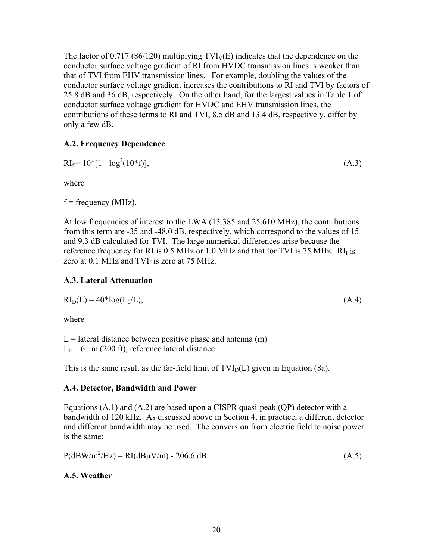The factor of 0.717 (86/120) multiplying  $TVI_V(E)$  indicates that the dependence on the conductor surface voltage gradient of RI from HVDC transmission lines is weaker than that of TVI from EHV transmission lines. For example, doubling the values of the conductor surface voltage gradient increases the contributions to RI and TVI by factors of 25.8 dB and 36 dB, respectively. On the other hand, for the largest values in Table 1 of conductor surface voltage gradient for HVDC and EHV transmission lines, the contributions of these terms to RI and TVI, 8.5 dB and 13.4 dB, respectively, differ by only a few dB.

# **A.2. Frequency Dependence**

$$
RI_f = 10^*[1 - \log^2(10^*f)],
$$
\n(A.3)

where

 $f = frequency (MHz)$ .

At low frequencies of interest to the LWA (13.385 and 25.610 MHz), the contributions from this term are -35 and -48.0 dB, respectively, which correspond to the values of 15 and 9.3 dB calculated for TVI. The large numerical differences arise because the reference frequency for RI is  $0.5$  MHz or 1.0 MHz and that for TVI is 75 MHz. RI $_f$  is zero at 0.1 MHz and TVI $_f$  is zero at 75 MHz.

# **A.3. Lateral Attenuation**

$$
RI_D(L) = 40 * log(L_0/L), \qquad (A.4)
$$

where

 $L =$  lateral distance between positive phase and antenna  $(m)$  $L_0$  = 61 m (200 ft), reference lateral distance

This is the same result as the far-field limit of  $TVI_D(L)$  given in Equation (8a).

# **A.4. Detector, Bandwidth and Power**

Equations (A.1) and (A.2) are based upon a CISPR quasi-peak (QP) detector with a bandwidth of 120 kHz. As discussed above in Section 4, in practice, a different detector and different bandwidth may be used. The conversion from electric field to noise power is the same:

 $P(dBW/m^2/Hz) = RI(dB\mu V/m) - 206.6 dB.$  (A.5)

# **A.5. Weather**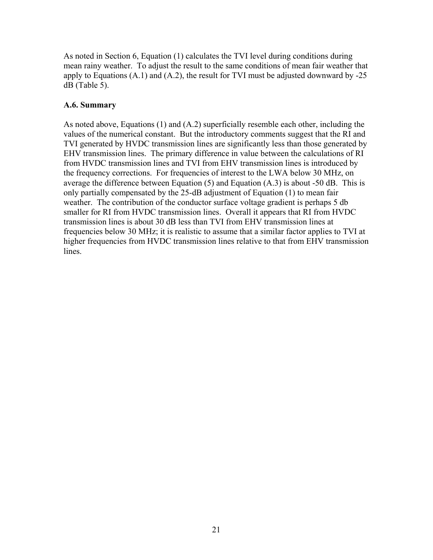As noted in Section 6, Equation (1) calculates the TVI level during conditions during mean rainy weather. To adjust the result to the same conditions of mean fair weather that apply to Equations  $(A.1)$  and  $(A.2)$ , the result for TVI must be adjusted downward by  $-25$ dB (Table 5).

# **A.6. Summary**

As noted above, Equations (1) and (A.2) superficially resemble each other, including the values of the numerical constant. But the introductory comments suggest that the RI and TVI generated by HVDC transmission lines are significantly less than those generated by EHV transmission lines. The primary difference in value between the calculations of RI from HVDC transmission lines and TVI from EHV transmission lines is introduced by the frequency corrections. For frequencies of interest to the LWA below 30 MHz, on average the difference between Equation (5) and Equation (A.3) is about -50 dB. This is only partially compensated by the 25-dB adjustment of Equation (1) to mean fair weather. The contribution of the conductor surface voltage gradient is perhaps 5 db smaller for RI from HVDC transmission lines. Overall it appears that RI from HVDC transmission lines is about 30 dB less than TVI from EHV transmission lines at frequencies below 30 MHz; it is realistic to assume that a similar factor applies to TVI at higher frequencies from HVDC transmission lines relative to that from EHV transmission lines.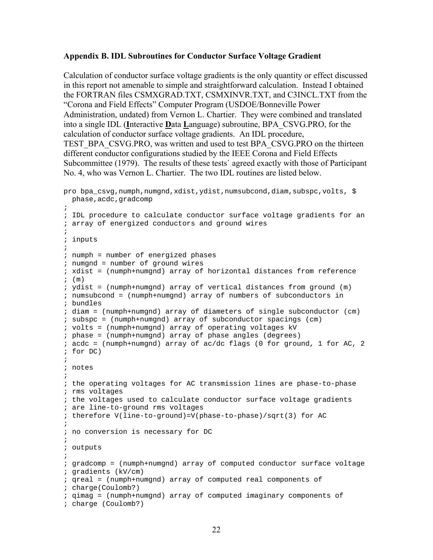#### **Appendix B. IDL Subroutines for Conductor Surface Voltage Gradient**

Calculation of conductor surface voltage gradients is the only quantity or effect discussed in this report not amenable to simple and straightforward calculation. Instead I obtained the FORTRAN files CSMXGRAD.TXT, CSMXINVR.TXT, and C3INCL.TXT from the "Corona and Field Effects" Computer Program (USDOE/Bonneville Power Administration, undated) from Vernon L. Chartier. They were combined and translated into a single IDL (**I**nteractive **D**ata **L**anguage) subroutine, BPA\_CSVG.PRO, for the calculation of conductor surface voltage gradients. An IDL procedure, TEST\_BPA\_CSVG.PRO, was written and used to test BPA\_CSVG.PRO on the thirteen different conductor configurations studied by the IEEE Corona and Field Effects Subcommittee (1979). The results of these tests` agreed exactly with those of Participant No. 4, who was Vernon L. Chartier. The two IDL routines are listed below.

```
pro bpa_csvg,numph,numgnd,xdist,ydist,numsubcond,diam,subspc,volts, $ 
 phase, acdc, gradcomp
\mathcal{L}; IDL procedure to calculate conductor surface voltage gradients for an 
; array of energized conductors and ground wires 
\mathcal{L}; inputs 
; 
; numph = number of energized phases 
; numgnd = number of ground wires 
; xdist = (numph+numgnd) array of horizontal distances from reference 
; (m) 
; ydist = (numph+numgnd) array of vertical distances from ground (m) 
; numsubcond = (numph+numgnd) array of numbers of subconductors in 
; bundles 
; diam = (numph+numgnd) array of diameters of single subconductor (cm) 
; subspc = (numph+numgnd) array of subconductor spacings (cm) 
; volts = (numph+numgnd) array of operating voltages kV 
; phase = (numph+numgnd) array of phase angles (degrees) 
; acdc = (numph+numgnd) array of ac/dc flags (0 for ground, 1 for AC, 2
; for DC) 
; 
; notes 
; 
; the operating voltages for AC transmission lines are phase-to-phase 
; rms voltages 
; the voltages used to calculate conductor surface voltage gradients 
; are line-to-ground rms voltages 
; therefore V(line-to-ground)=V(phase-to-phase)/sqrt(3) for AC 
; 
; no conversion is necessary for DC 
; 
; outputs 
; 
; gradcomp = (numph+numgnd) array of computed conductor surface voltage 
; gradients (kV/cm) 
; qreal = (numph+numgnd) array of computed real components of 
; charge(Coulomb?) 
; qimag = (numph+numgnd) array of computed imaginary components of 
; charge (Coulomb?)
```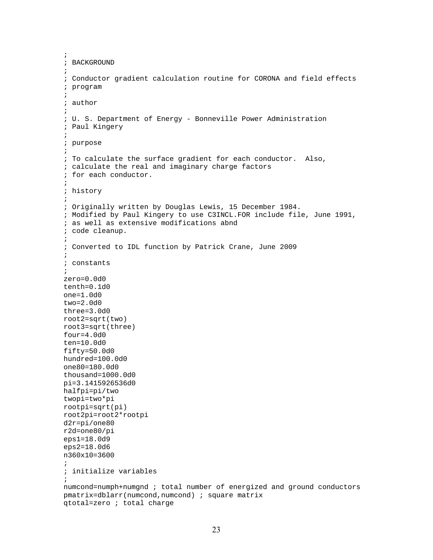```
; 
; BACKGROUND 
; 
; Conductor gradient calculation routine for CORONA and field effects 
; program 
; 
; author 
; 
; U. S. Department of Energy - Bonneville Power Administration 
; Paul Kingery 
; 
; purpose 
\mathcal{L}; To calculate the surface gradient for each conductor. Also, 
; calculate the real and imaginary charge factors 
; for each conductor. 
\mathcal{L}; history 
; 
; Originally written by Douglas Lewis, 15 December 1984. 
; Modified by Paul Kingery to use C3INCL.FOR include file, June 1991, 
; as well as extensive modifications abnd 
; code cleanup. 
; 
; Converted to IDL function by Patrick Crane, June 2009 
; 
; constants 
; 
zero=0.0d0 
tenth=0.1d0 
one=1.0d0 
two=2.0d0 
three=3.0d0 
root2=sqrt(two) 
root3=sqrt(three) 
four=4.0d0 
ten=10.0d0 
fifty=50.0d0 
hundred=100.0d0 
one80=180.0d0 
thousand=1000.0d0 
pi=3.1415926536d0 
halfpi=pi/two 
twopi=two*pi 
rootpi=sqrt(pi) 
root2pi=root2*rootpi 
d2r=pi/one80 
r2d=one80/pi 
eps1=18.0d9 
eps2=18.0d6 
n360x10=3600 
; 
; initialize variables 
; 
numcond=numph+numgnd ; total number of energized and ground conductors 
pmatrix=dblarr(numcond,numcond) ; square matrix 
qtotal=zero ; total charge
```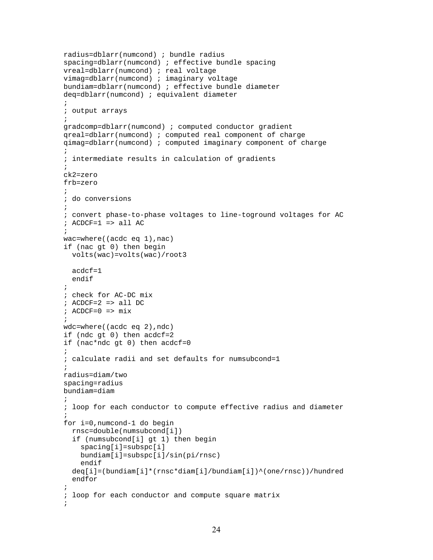```
radius=dblarr(numcond) ; bundle radius 
spacing=dblarr(numcond) ; effective bundle spacing 
vreal=dblarr(numcond) ; real voltage 
vimag=dblarr(numcond) ; imaginary voltage 
bundiam=dblarr(numcond) ; effective bundle diameter 
deq=dblarr(numcond) ; equivalent diameter 
; 
; output arrays 
; 
gradcomp=dblarr(numcond) ; computed conductor gradient 
qreal=dblarr(numcond) ; computed real component of charge 
qimag=dblarr(numcond) ; computed imaginary component of charge 
; 
; intermediate results in calculation of gradients 
; 
ck2=zero 
frb=zero 
\mathcal{L}; do conversions 
; 
; convert phase-to-phase voltages to line-toground voltages for AC 
; ACDCF=1 => all AC 
\mathcal{L}wac=where((acdc eq 1),nac) 
if (nac gt 0) then begin 
   volts(wac)=volts(wac)/root3 
   acdcf=1 
   endif 
; 
; check for AC-DC mix 
; ACDCF=2 => all DC 
; ACDCF=0 \Rightarrow mix\mathcal{L}wdc=where((acdc eq 2),ndc) 
if (ndc gt 0) then acdcf=2 
if (nac*ndc gt 0) then acdcf=0 
; 
; calculate radii and set defaults for numsubcond=1 
; 
radius=diam/two 
spacing=radius 
bundiam=diam 
; 
; loop for each conductor to compute effective radius and diameter 
\mathcal{L}for i=0,numcond-1 do begin 
   rnsc=double(numsubcond[i]) 
   if (numsubcond[i] gt 1) then begin 
     spacing[i]=subspc[i] 
     bundiam[i]=subspc[i]/sin(pi/rnsc) 
     endif 
   deq[i]=(bundiam[i]*(rnsc*diam[i]/bundiam[i])^(one/rnsc))/hundred 
   endfor 
; 
; loop for each conductor and compute square matrix 
;
```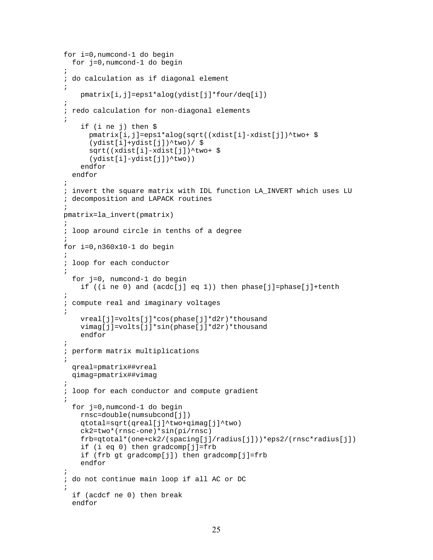```
for i=0,numcond-1 do begin 
   for j=0,numcond-1 do begin 
; 
; do calculation as if diagonal element 
; 
     pmatrix[i,j]=eps1*alog(ydist[j]*four/deq[i]) 
; 
; redo calculation for non-diagonal elements 
; 
     if (i ne j) then $ 
       pmatrix[i,j]=eps1*alog(sqrt((xdist[i]-xdist[j])^two+ $ 
        (ydist[i]+ydist[j])^two)/ $ 
       sqrt((xdist[i]-xdist[j])^two+ $ 
        (ydist[i]-ydist[j])^two)) 
     endfor 
   endfor 
; 
; invert the square matrix with IDL function LA_INVERT which uses LU 
; decomposition and LAPACK routines 
; 
pmatrix=la_invert(pmatrix) 
\mathcal{L}; loop around circle in tenths of a degree 
; 
for i=0,n360x10-1 do begin 
; 
; loop for each conductor 
\mathcal{L} for j=0, numcond-1 do begin 
    if ((i ne 0) and (acdc[j] eq 1)) then phase[j]=phase[j]+tenth
; 
; compute real and imaginary voltages 
; 
     vreal[j]=volts[j]*cos(phase[j]*d2r)*thousand 
     vimag[j]=volts[j]*sin(phase[j]*d2r)*thousand 
     endfor 
; 
; perform matrix multiplications 
; 
   qreal=pmatrix##vreal 
   qimag=pmatrix##vimag 
; 
; loop for each conductor and compute gradient 
; 
   for j=0,numcond-1 do begin 
     rnsc=double(numsubcond[j]) 
     qtotal=sqrt(qreal[j]^two+qimag[j]^two) 
     ck2=two*(rnsc-one)*sin(pi/rnsc) 
     frb=qtotal*(one+ck2/(spacing[j]/radius[j]))*eps2/(rnsc*radius[j]) 
     if (i eq 0) then gradcomp[j]=frb 
     if (frb gt gradcomp[j]) then gradcomp[j]=frb 
     endfor 
; 
; do not continue main loop if all AC or DC 
; 
   if (acdcf ne 0) then break 
   endfor
```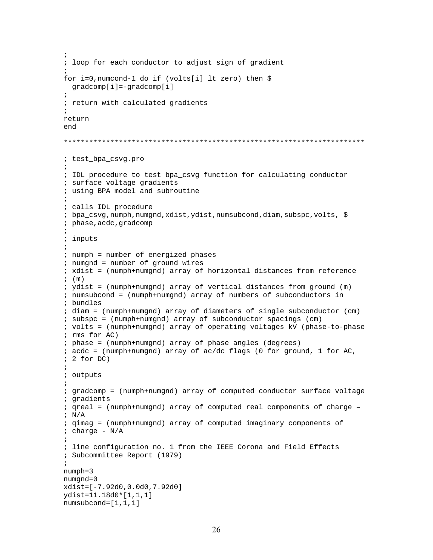```
; 
; loop for each conductor to adjust sign of gradient 
\mathcal{L}for i=0,numcond-1 do if (volts[i] lt zero) then $ 
   gradcomp[i]=-gradcomp[i] 
; 
; return with calculated gradients 
; 
return 
end 
*********************************************************************** 
; test_bpa_csvg.pro 
; 
; IDL procedure to test bpa_csvg function for calculating conductor 
; surface voltage gradients 
; using BPA model and subroutine 
; 
; calls IDL procedure 
; bpa_csvg,numph,numgnd,xdist,ydist,numsubcond,diam,subspc,volts, $ 
; phase,acdc,gradcomp 
; 
; inputs 
; 
; numph = number of energized phases 
; numgnd = number of ground wires 
; xdist = (numph+numgnd) array of horizontal distances from reference 
; (m); ydist = (numph+numgnd) array of vertical distances from ground (m) 
; numsubcond = (numph+numgnd) array of numbers of subconductors in 
; bundles 
; diam = (numph+numgnd) array of diameters of single subconductor (cm) 
; subspc = (numph+numgnd) array of subconductor spacings (cm) 
; volts = (numph+numgnd) array of operating voltages kV (phase-to-phase 
; rms for AC) 
; phase = (numph+numgnd) array of phase angles (degrees) 
: acdc = (numph+numgnd) array of ac/dc flags (0 for ground, 1 for AC,
; 2 for DC) 
; 
; outputs 
; 
; gradcomp = (numph+numgnd) array of computed conductor surface voltage 
; gradients 
; qreal = (numph+numgnd) array of computed real components of charge – 
; N/A; qimag = (numph+numgnd) array of computed imaginary components of 
i charge - N/A; 
; line configuration no. 1 from the IEEE Corona and Field Effects 
; Subcommittee Report (1979) 
; 
numph=3 
numgnd=0 
xdist=[-7.92d0,0.0d0,7.92d0] 
ydist=11.18d0*[1,1,1] 
numsubcond=[1,1,1]
```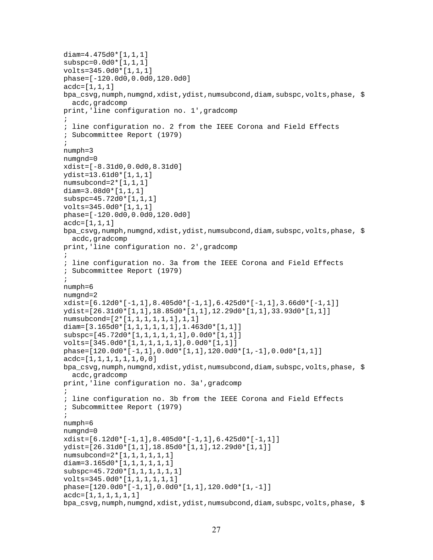```
diam=4.475d0*[1,1,1] 
subspc=0.0d0*[1,1,1] 
volts=345.0d0*[1,1,1] 
phase=[-120.0d0,0.0d0,120.0d0] 
\text{acdc}=[1,1,1]bpa csvg,numph,numgnd,xdist,ydist,numsubcond,diam,subspc,volts,phase, $
  acdc, gradcomp
print,'line configuration no. 1',gradcomp 
\mathcal{L}; line configuration no. 2 from the IEEE Corona and Field Effects 
; Subcommittee Report (1979) 
; 
numph=3 
numgnd=0 
xdist=[-8.31d0,0.0d0,8.31d0] 
ydist=13.61d0*[1,1,1] 
numsubcond=2*[1,1,1] 
diam=3.08d0*[1,1,1] 
subspc=45.72d0*[1,1,1] 
volts=345.0d0*[1,1,1] 
phase=[-120.0d0,0.0d0,120.0d0] 
acc=[1,1,1]bpa_csvg,numph,numgnd,xdist,ydist,numsubcond,diam,subspc,volts,phase, $
   acdc,gradcomp 
print,'line configuration no. 2',gradcomp 
; 
; line configuration no. 3a from the IEEE Corona and Field Effects 
; Subcommittee Report (1979) 
\mathcal{L}numph=6 
numgnd=2 
xdist=[6.12d0*[-1,1],8.405d0*[-1,1],6.425d0*[-1,1],3.66d0*[-1,1]] 
ydist=[26.31d0*[1,1],18.85d0*[1,1],12.29d0*[1,1],33.93d0*[1,1]] 
numsubcond=[2*[1,1,1,1,1,1],1,1] 
diam=[3.165d0*[1,1,1,1,1,1],1.463d0*[1,1]] 
subspc=[45.72d0*[1,1,1,1,1,1],0.0d0*[1,1]] 
volts=[345.0d0*[1,1,1,1,1,1],0.0d0*[1,1]] 
phase=[120.0d0*[-1,1],0.0d0*[1,1],120.0d0*[1,-1],0.0d0*[1,1]] 
\text{acdc}=[1,1,1,1,1,1,1,0,0]bpa_csvg,numph,numgnd,xdist,ydist,numsubcond,diam,subspc,volts,phase, $
   acdc,gradcomp 
print,'line configuration no. 3a',gradcomp 
\mathcal{L}; line configuration no. 3b from the IEEE Corona and Field Effects 
; Subcommittee Report (1979) 
; 
numph=6 
numgnd=0 
xdist=[6.12d0*[-1,1],8.405d0*[-1,1],6.425d0*[-1,1]] 
ydist=[26.31d0*[1,1],18.85d0*[1,1],12.29d0*[1,1]] 
numsubcond=2*[1,1,1,1,1,1] 
diam=3.165d0*[1,1,1,1,1,1] 
subspc=45.72d0*[1,1,1,1,1,1] 
volts=345.0d0*[1,1,1,1,1,1] 
phase=[120.0d0*[-1,1],0.0d0*[1,1],120.0d0*[1,-1]] 
\text{acdc}=[1,1,1,1,1,1,1]bpa_csvg,numph,numgnd,xdist,ydist,numsubcond,diam,subspc,volts,phase, $
```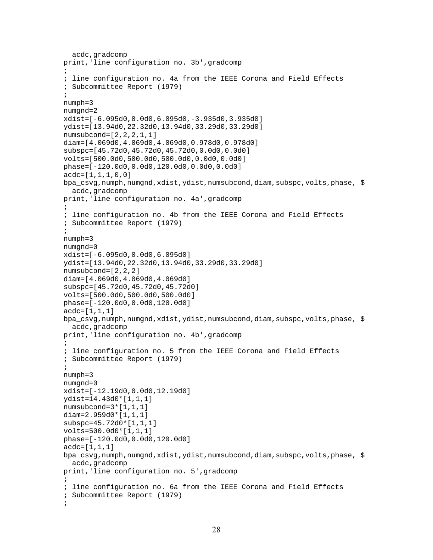```
 acdc,gradcomp 
print,'line configuration no. 3b',gradcomp 
\mathcal{L}; line configuration no. 4a from the IEEE Corona and Field Effects 
; Subcommittee Report (1979) 
; 
numph=3 
numgnd=2 
xdist=[-6.095d0,0.0d0,6.095d0,-3.935d0,3.935d0] 
ydist=[13.94d0,22.32d0,13.94d0,33.29d0,33.29d0] 
numsubcond=[2,2,2,1,1] 
diam=[4.069d0,4.069d0,4.069d0,0.978d0,0.978d0] 
subspc=[45.72d0,45.72d0,45.72d0,0.0d0,0.0d0] 
volts=[500.0d0,500.0d0,500.0d0,0.0d0,0.0d0] 
phase=[-120.0d0,0.0d0,120.0d0,0.0d0,0.0d0] 
acc = [1, 1, 1, 0, 0]bpa_csvg,numph,numgnd,xdist,ydist,numsubcond,diam,subspc,volts,phase, $
   acdc,gradcomp 
print,'line configuration no. 4a',gradcomp 
; 
; line configuration no. 4b from the IEEE Corona and Field Effects 
; Subcommittee Report (1979) 
; 
numph=3 
numgnd=0 
xdist=[-6.095d0,0.0d0,6.095d0] 
ydist=[13.94d0,22.32d0,13.94d0,33.29d0,33.29d0] 
numsubcond=[2,2,2] 
diam=[4.069d0,4.069d0,4.069d0] 
subspc=[45.72d0,45.72d0,45.72d0] 
volts=[500.0d0,500.0d0,500.0d0] 
phase=[-120.0d0,0.0d0,120.0d0] 
acdc=[1,1,1] 
bpa_csvg,numph,numgnd,xdist,ydist,numsubcond,diam,subspc,volts,phase, $
   acdc,gradcomp 
print,'line configuration no. 4b',gradcomp 
\mathcal{L}; line configuration no. 5 from the IEEE Corona and Field Effects 
; Subcommittee Report (1979) 
; 
numph=3 
numgnd=0 
xdist=[-12.19d0,0.0d0,12.19d0] 
ydist=14.43d0*[1,1,1] 
numsubcond=3*[1,1,1] 
diam=2.959d0*[1,1,1] 
subspc=45.72d0*[1,1,1] 
volts=500.0d0*[1,1,1] 
phase=[-120.0d0,0.0d0,120.0d0] 
acc = [1, 1, 1]bpa_csvg,numph,numgnd,xdist,ydist,numsubcond,diam,subspc,volts,phase, $
   acdc,gradcomp 
print,'line configuration no. 5',gradcomp 
; 
; line configuration no. 6a from the IEEE Corona and Field Effects 
; Subcommittee Report (1979) 
;
```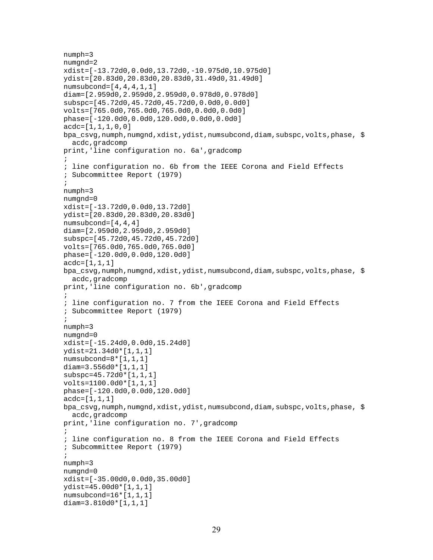```
numph=3 
numgnd=2 
xdist=[-13.72d0,0.0d0,13.72d0,-10.975d0,10.975d0] 
ydist=[20.83d0,20.83d0,20.83d0,31.49d0,31.49d0] 
numsubcond=[4,4,4,1,1] 
diam=[2.959d0,2.959d0,2.959d0,0.978d0,0.978d0] 
subspc=[45.72d0,45.72d0,45.72d0,0.0d0,0.0d0] 
volts=[765.0d0,765.0d0,765.0d0,0.0d0,0.0d0] 
phase=[-120.0d0,0.0d0,120.0d0,0.0d0,0.0d0] 
acc = [1, 1, 1, 0, 0]bpa_csvg,numph,numgnd,xdist,ydist,numsubcond,diam,subspc,volts,phase, $
   acdc,gradcomp 
print,'line configuration no. 6a',gradcomp 
\mathcal{L}; line configuration no. 6b from the IEEE Corona and Field Effects 
; Subcommittee Report (1979) 
; 
numph=3 
numgnd=0 
xdist=[-13.72d0,0.0d0,13.72d0] 
ydist=[20.83d0,20.83d0,20.83d0] 
numsubcond=[4,4,4] 
diam=[2.959d0,2.959d0,2.959d0] 
subspc=[45.72d0,45.72d0,45.72d0] 
volts=[765.0d0,765.0d0,765.0d0] 
phase=[-120.0d0,0.0d0,120.0d0] 
\text{acdc}=[1,1,1]bpa_csvg,numph,numgnd,xdist,ydist,numsubcond,diam,subspc,volts,phase, $
   acdc,gradcomp 
print,'line configuration no. 6b',gradcomp 
\mathcal{L}; line configuration no. 7 from the IEEE Corona and Field Effects 
; Subcommittee Report (1979) 
; 
numph=3 
numgnd=0 
xdist=[-15.24d0,0.0d0,15.24d0] 
ydist=21.34d0*[1,1,1] 
numsubcond=8*[1,1,1] 
diam=3.556d0*[1,1,1] 
subspc=45.72d0*[1,1,1] 
volts=1100.0d0*[1,1,1] 
phase=[-120.0d0,0.0d0,120.0d0] 
\text{acdc}=[1,1,1]bpa_csvg,numph,numgnd,xdist,ydist,numsubcond,diam,subspc,volts,phase, $
   acdc,gradcomp 
print,'line configuration no. 7',gradcomp 
; 
; line configuration no. 8 from the IEEE Corona and Field Effects 
; Subcommittee Report (1979) 
; 
numph=3 
numgnd=0 
xdist=[-35.00d0,0.0d0,35.00d0] 
ydist=45.00d0*[1,1,1] 
numsubcond=16*[1,1,1] 
diam=3.810d0*[1,1,1]
```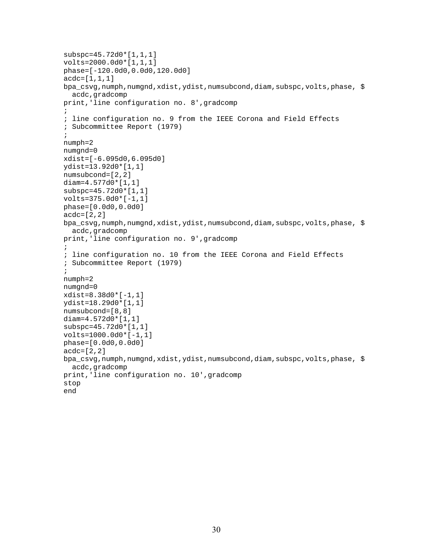```
subspc=45.72d0*[1,1,1] 
volts=2000.0d0*[1,1,1] 
phase=[-120.0d0,0.0d0,120.0d0] 
acc = [1, 1, 1]bpa_csvg,numph,numgnd,xdist,ydist,numsubcond,diam,subspc,volts,phase, $
  acdc, gradcomp
print,'line configuration no. 8',gradcomp 
\mathcal{L}; line configuration no. 9 from the IEEE Corona and Field Effects 
; Subcommittee Report (1979) 
; 
numph=2 
numgnd=0 
xdist=[-6.095d0,6.095d0] 
ydist=13.92d0*[1,1] 
numsubcond=[2,2] 
diam=4.577d0*[1,1] 
subspc=45.72d0*[1,1] 
volts=375.0d0*[-1,1] 
phase=[0.0d0,0.0d0] 
acc=[2,2]bpa_csvg,numph,numgnd,xdist,ydist,numsubcond,diam,subspc,volts,phase, $
   acdc,gradcomp 
print,'line configuration no. 9',gradcomp 
; 
; line configuration no. 10 from the IEEE Corona and Field Effects 
; Subcommittee Report (1979) 
; 
numph=2 
numgnd=0 
xdist=8.38d0*[-1,1] 
ydist=18.29d0*[1,1] 
numsubcond=[8,8] 
diam=4.572d0*[1,1] 
subspc=45.72d0*[1,1] 
volts=1000.0d0*[-1,1] 
phase=[0.0d0,0.0d0] 
acdc=[2,2] 
bpa_csvg,numph,numgnd,xdist,ydist,numsubcond,diam,subspc,volts,phase, $
  acdc, gradcomp
print,'line configuration no. 10',gradcomp 
stop 
end
```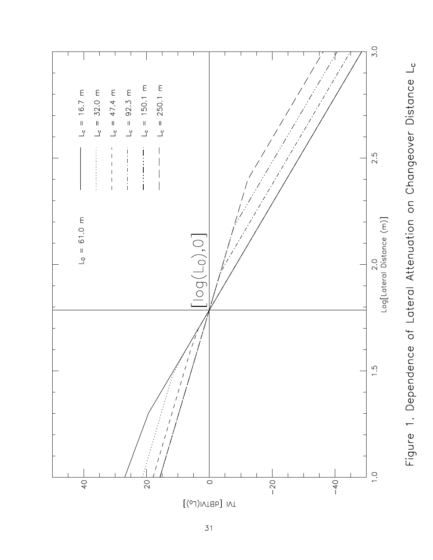

Figure 1. Dependence of Lateral Attenuation on Changeover Distance L<sub>c</sub>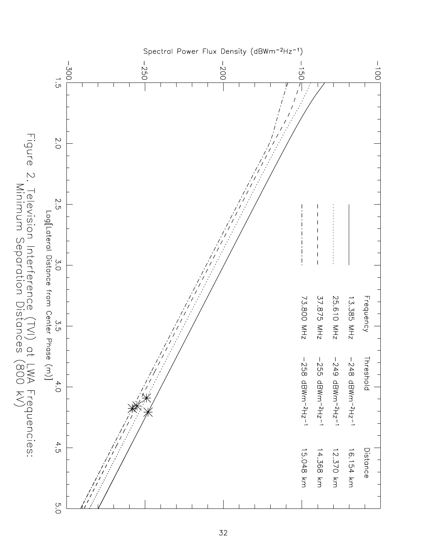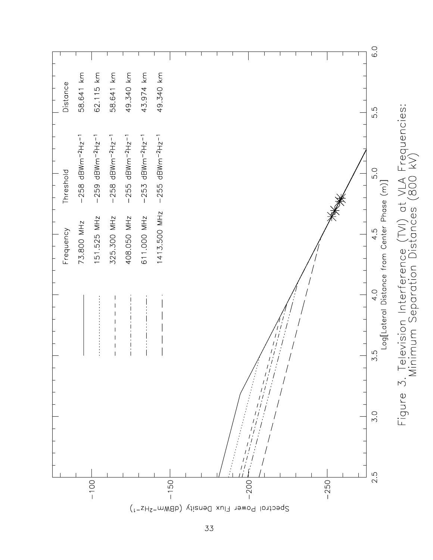